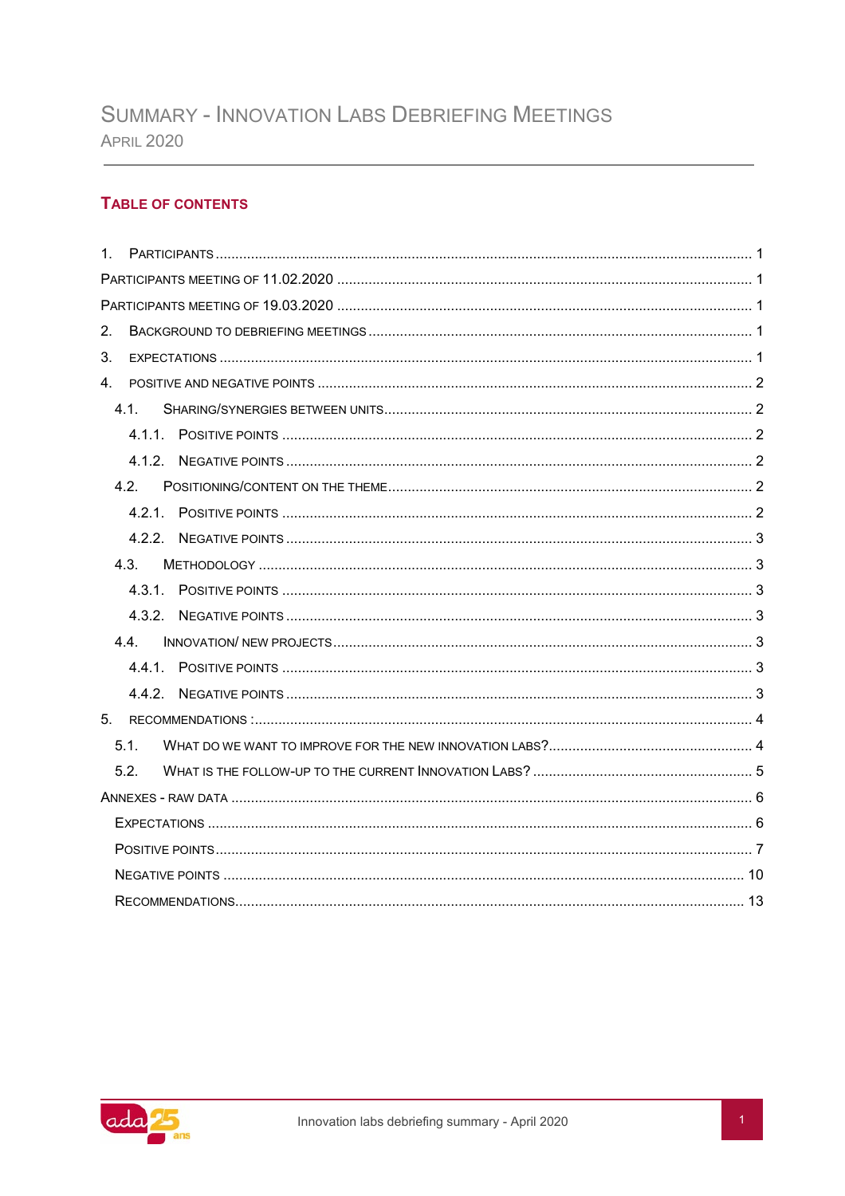## **TABLE OF CONTENTS**

| $1 \quad$ |                  |  |  |  |  |  |  |
|-----------|------------------|--|--|--|--|--|--|
|           |                  |  |  |  |  |  |  |
|           |                  |  |  |  |  |  |  |
| 2.        |                  |  |  |  |  |  |  |
| 3.        |                  |  |  |  |  |  |  |
| 4.        |                  |  |  |  |  |  |  |
|           | 41               |  |  |  |  |  |  |
|           |                  |  |  |  |  |  |  |
|           |                  |  |  |  |  |  |  |
|           | 4.2.             |  |  |  |  |  |  |
|           |                  |  |  |  |  |  |  |
|           |                  |  |  |  |  |  |  |
|           | 4.3.             |  |  |  |  |  |  |
|           |                  |  |  |  |  |  |  |
|           |                  |  |  |  |  |  |  |
|           | 4.4.             |  |  |  |  |  |  |
|           |                  |  |  |  |  |  |  |
|           |                  |  |  |  |  |  |  |
| 5.        |                  |  |  |  |  |  |  |
|           | 5.1.             |  |  |  |  |  |  |
|           | 5.2 <sub>1</sub> |  |  |  |  |  |  |
|           |                  |  |  |  |  |  |  |
|           |                  |  |  |  |  |  |  |
|           |                  |  |  |  |  |  |  |
|           |                  |  |  |  |  |  |  |
|           |                  |  |  |  |  |  |  |
|           |                  |  |  |  |  |  |  |

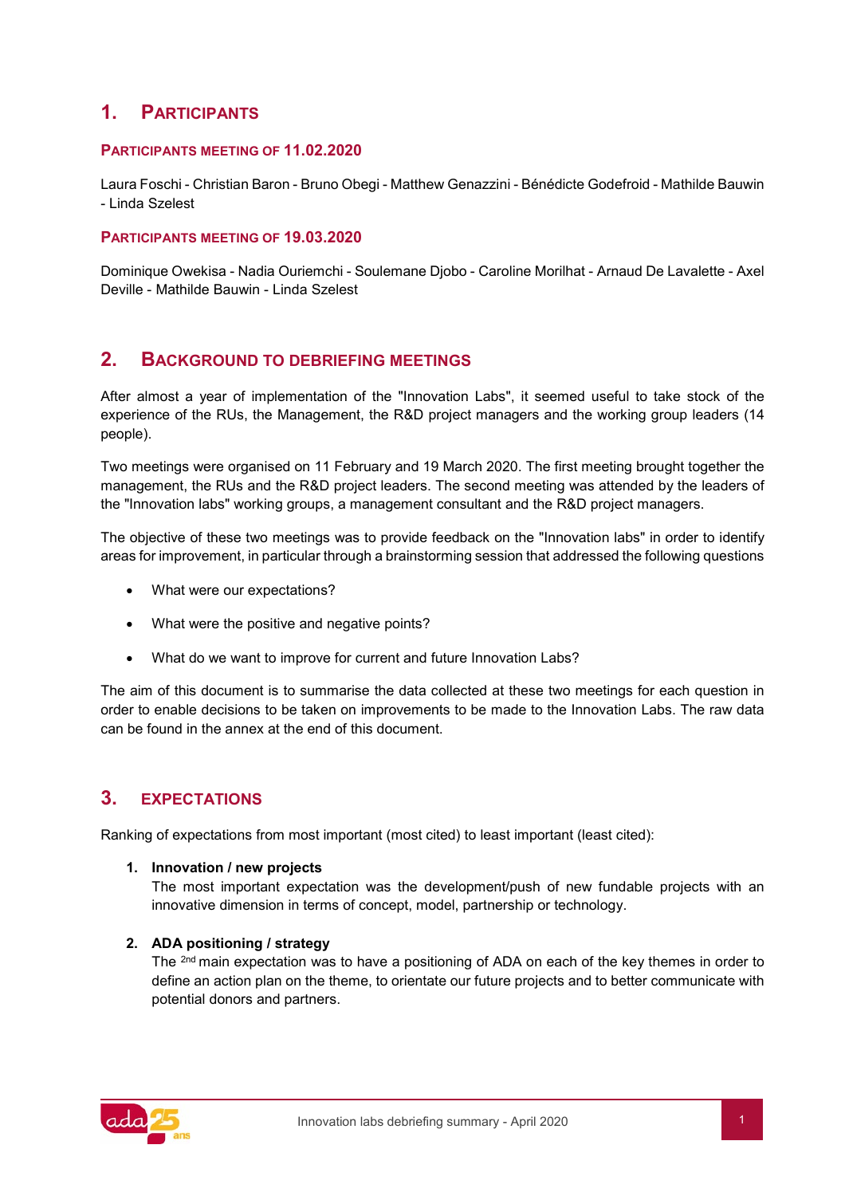# <span id="page-1-0"></span>**1. PARTICIPANTS**

### <span id="page-1-1"></span>**PARTICIPANTS MEETING OF 11.02.2020**

Laura Foschi - Christian Baron - Bruno Obegi - Matthew Genazzini - Bénédicte Godefroid - Mathilde Bauwin - Linda Szelest

#### <span id="page-1-2"></span>**PARTICIPANTS MEETING OF 19.03.2020**

Dominique Owekisa - Nadia Ouriemchi - Soulemane Djobo - Caroline Morilhat - Arnaud De Lavalette - Axel Deville - Mathilde Bauwin - Linda Szelest

## <span id="page-1-3"></span>**2. BACKGROUND TO DEBRIEFING MEETINGS**

After almost a year of implementation of the "Innovation Labs", it seemed useful to take stock of the experience of the RUs, the Management, the R&D project managers and the working group leaders (14 people).

Two meetings were organised on 11 February and 19 March 2020. The first meeting brought together the management, the RUs and the R&D project leaders. The second meeting was attended by the leaders of the "Innovation labs" working groups, a management consultant and the R&D project managers.

The objective of these two meetings was to provide feedback on the "Innovation labs" in order to identify areas for improvement, in particular through a brainstorming session that addressed the following questions

- What were our expectations?
- What were the positive and negative points?
- What do we want to improve for current and future Innovation Labs?

The aim of this document is to summarise the data collected at these two meetings for each question in order to enable decisions to be taken on improvements to be made to the Innovation Labs. The raw data can be found in the annex at the end of this document.

# <span id="page-1-4"></span>**3. EXPECTATIONS**

Ranking of expectations from most important (most cited) to least important (least cited):

#### **1. Innovation / new projects**

The most important expectation was the development/push of new fundable projects with an innovative dimension in terms of concept, model, partnership or technology.

#### **2. ADA positioning / strategy**

The <sup>2nd</sup> main expectation was to have a positioning of ADA on each of the key themes in order to define an action plan on the theme, to orientate our future projects and to better communicate with potential donors and partners.

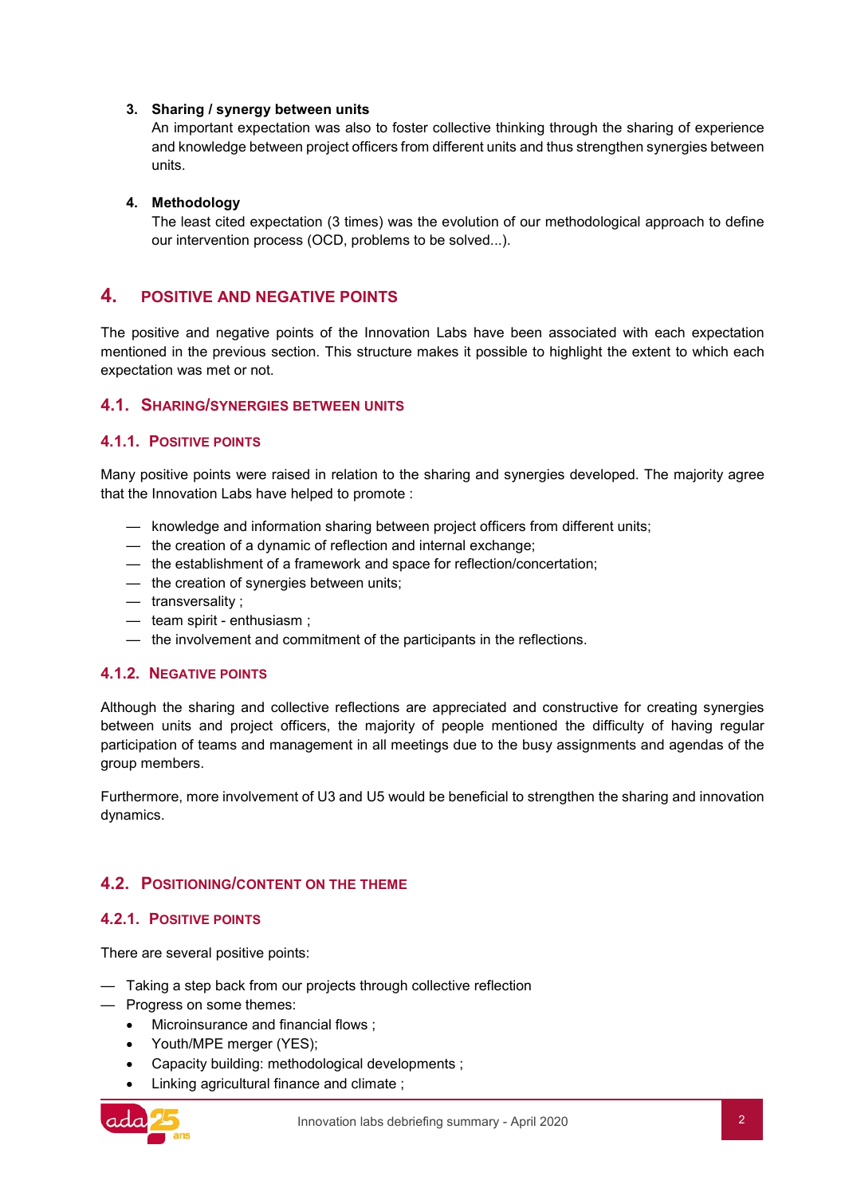#### **3. Sharing / synergy between units**

An important expectation was also to foster collective thinking through the sharing of experience and knowledge between project officers from different units and thus strengthen synergies between units.

#### **4. Methodology**

The least cited expectation (3 times) was the evolution of our methodological approach to define our intervention process (OCD, problems to be solved...).

## <span id="page-2-0"></span>**4. POSITIVE AND NEGATIVE POINTS**

The positive and negative points of the Innovation Labs have been associated with each expectation mentioned in the previous section. This structure makes it possible to highlight the extent to which each expectation was met or not.

#### <span id="page-2-1"></span>**4.1. SHARING/SYNERGIES BETWEEN UNITS**

#### <span id="page-2-2"></span>**4.1.1. POSITIVE POINTS**

Many positive points were raised in relation to the sharing and synergies developed. The majority agree that the Innovation Labs have helped to promote :

- knowledge and information sharing between project officers from different units;
- the creation of a dynamic of reflection and internal exchange;
- the establishment of a framework and space for reflection/concertation;
- the creation of synergies between units;
- transversality ;
- team spirit enthusiasm ;
- the involvement and commitment of the participants in the reflections.

#### <span id="page-2-3"></span>**4.1.2. NEGATIVE POINTS**

Although the sharing and collective reflections are appreciated and constructive for creating synergies between units and project officers, the majority of people mentioned the difficulty of having regular participation of teams and management in all meetings due to the busy assignments and agendas of the group members.

Furthermore, more involvement of U3 and U5 would be beneficial to strengthen the sharing and innovation dynamics.

## <span id="page-2-4"></span>**4.2. POSITIONING/CONTENT ON THE THEME**

#### <span id="page-2-5"></span>**4.2.1. POSITIVE POINTS**

There are several positive points:

- Taking a step back from our projects through collective reflection
- Progress on some themes:
	- Microinsurance and financial flows ;
	- Youth/MPE merger (YES);
	- Capacity building: methodological developments ;
	- Linking agricultural finance and climate ;

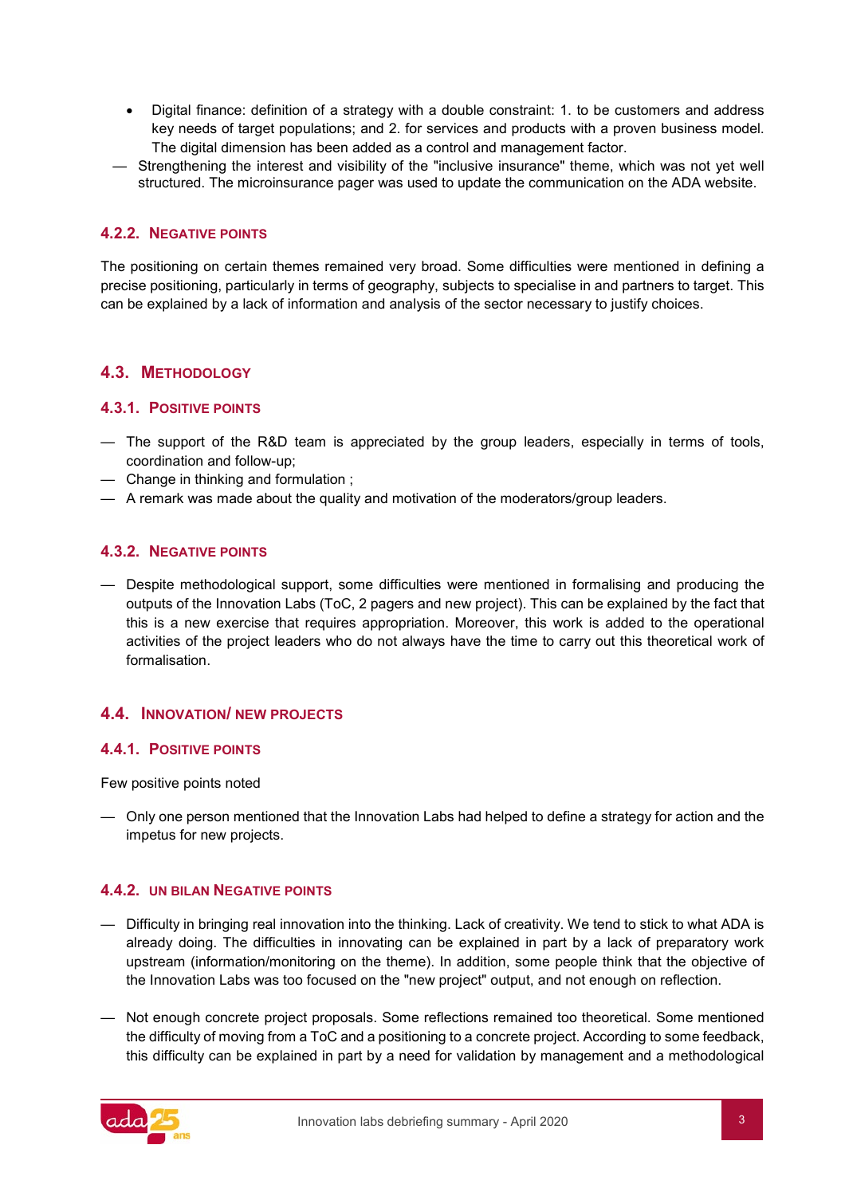- Digital finance: definition of a strategy with a double constraint: 1. to be customers and address key needs of target populations; and 2. for services and products with a proven business model. The digital dimension has been added as a control and management factor.
- Strengthening the interest and visibility of the "inclusive insurance" theme, which was not yet well structured. The microinsurance pager was used to update the communication on the ADA website.

### <span id="page-3-0"></span>**4.2.2. NEGATIVE POINTS**

The positioning on certain themes remained very broad. Some difficulties were mentioned in defining a precise positioning, particularly in terms of geography, subjects to specialise in and partners to target. This can be explained by a lack of information and analysis of the sector necessary to justify choices.

## <span id="page-3-1"></span>**4.3. METHODOLOGY**

#### <span id="page-3-2"></span>**4.3.1. POSITIVE POINTS**

- The support of the R&D team is appreciated by the group leaders, especially in terms of tools, coordination and follow-up;
- Change in thinking and formulation ;
- A remark was made about the quality and motivation of the moderators/group leaders.

## <span id="page-3-3"></span>**4.3.2. NEGATIVE POINTS**

— Despite methodological support, some difficulties were mentioned in formalising and producing the outputs of the Innovation Labs (ToC, 2 pagers and new project). This can be explained by the fact that this is a new exercise that requires appropriation. Moreover, this work is added to the operational activities of the project leaders who do not always have the time to carry out this theoretical work of formalisation.

#### <span id="page-3-4"></span>**4.4. INNOVATION/ NEW PROJECTS**

#### <span id="page-3-5"></span>**4.4.1. POSITIVE POINTS**

Few positive points noted

— Only one person mentioned that the Innovation Labs had helped to define a strategy for action and the impetus for new projects.

#### <span id="page-3-6"></span>**4.4.2. UN BILAN NEGATIVE POINTS**

- Difficulty in bringing real innovation into the thinking. Lack of creativity. We tend to stick to what ADA is already doing. The difficulties in innovating can be explained in part by a lack of preparatory work upstream (information/monitoring on the theme). In addition, some people think that the objective of the Innovation Labs was too focused on the "new project" output, and not enough on reflection.
- Not enough concrete project proposals. Some reflections remained too theoretical. Some mentioned the difficulty of moving from a ToC and a positioning to a concrete project. According to some feedback, this difficulty can be explained in part by a need for validation by management and a methodological

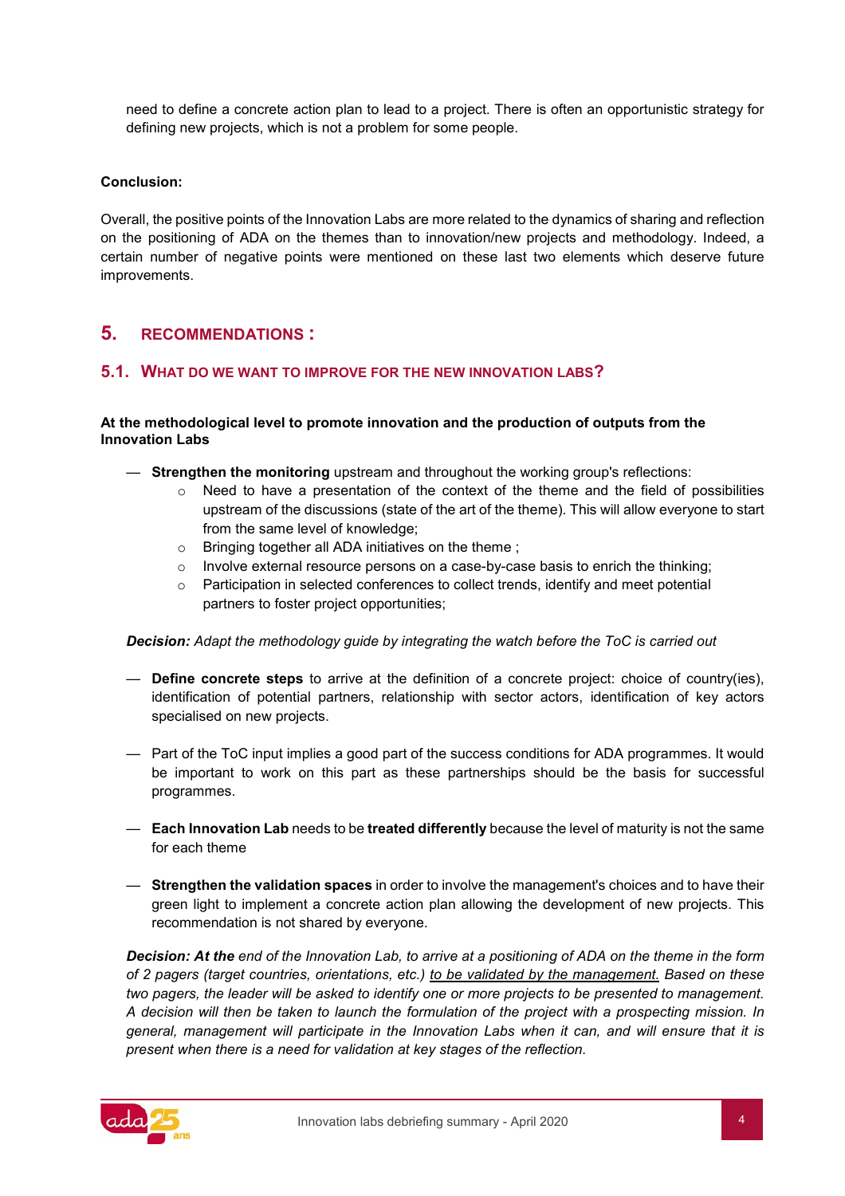need to define a concrete action plan to lead to a project. There is often an opportunistic strategy for defining new projects, which is not a problem for some people.

#### **Conclusion:**

Overall, the positive points of the Innovation Labs are more related to the dynamics of sharing and reflection on the positioning of ADA on the themes than to innovation/new projects and methodology. Indeed, a certain number of negative points were mentioned on these last two elements which deserve future improvements.

## <span id="page-4-0"></span>**5. RECOMMENDATIONS :**

#### <span id="page-4-1"></span>**5.1. WHAT DO WE WANT TO IMPROVE FOR THE NEW INNOVATION LABS?**

#### **At the methodological level to promote innovation and the production of outputs from the Innovation Labs**

- **Strengthen the monitoring** upstream and throughout the working group's reflections:
	- $\circ$  Need to have a presentation of the context of the theme and the field of possibilities upstream of the discussions (state of the art of the theme). This will allow everyone to start from the same level of knowledge;
	- o Bringing together all ADA initiatives on the theme ;
	- $\circ$  Involve external resource persons on a case-by-case basis to enrich the thinking;
	- $\circ$  Participation in selected conferences to collect trends, identify and meet potential partners to foster project opportunities;

#### *Decision: Adapt the methodology guide by integrating the watch before the ToC is carried out*

- **Define concrete steps** to arrive at the definition of a concrete project: choice of country(ies), identification of potential partners, relationship with sector actors, identification of key actors specialised on new projects.
- Part of the ToC input implies a good part of the success conditions for ADA programmes. It would be important to work on this part as these partnerships should be the basis for successful programmes.
- **Each Innovation Lab** needs to be **treated differently** because the level of maturity is not the same for each theme
- **Strengthen the validation spaces** in order to involve the management's choices and to have their green light to implement a concrete action plan allowing the development of new projects. This recommendation is not shared by everyone.

*Decision: At the end of the Innovation Lab, to arrive at a positioning of ADA on the theme in the form of 2 pagers (target countries, orientations, etc.) to be validated by the management. Based on these two pagers, the leader will be asked to identify one or more projects to be presented to management. A decision will then be taken to launch the formulation of the project with a prospecting mission. In general, management will participate in the Innovation Labs when it can, and will ensure that it is present when there is a need for validation at key stages of the reflection.*

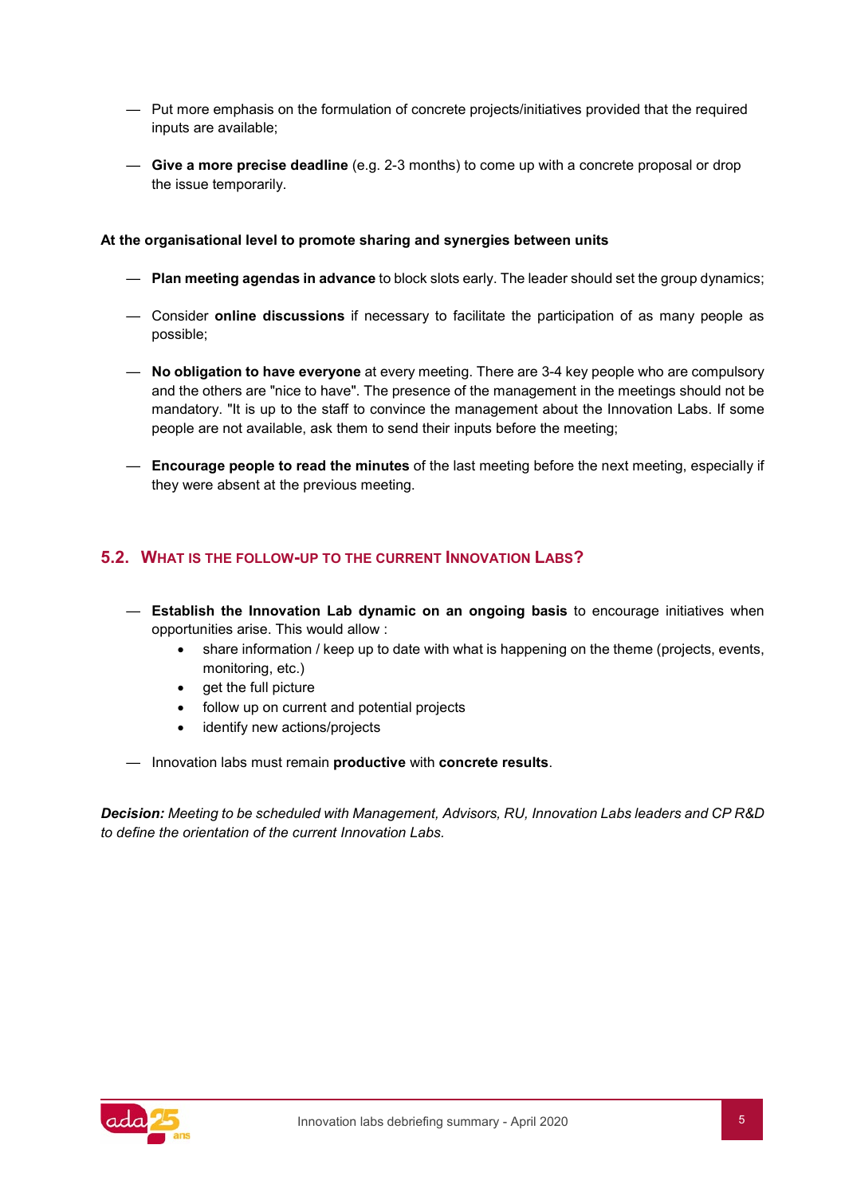- Put more emphasis on the formulation of concrete projects/initiatives provided that the required inputs are available;
- **Give a more precise deadline** (e.g. 2-3 months) to come up with a concrete proposal or drop the issue temporarily.

#### **At the organisational level to promote sharing and synergies between units**

- **Plan meeting agendas in advance** to block slots early. The leader should set the group dynamics;
- Consider **online discussions** if necessary to facilitate the participation of as many people as possible;
- **No obligation to have everyone** at every meeting. There are 3-4 key people who are compulsory and the others are "nice to have". The presence of the management in the meetings should not be mandatory. "It is up to the staff to convince the management about the Innovation Labs. If some people are not available, ask them to send their inputs before the meeting;
- **Encourage people to read the minutes** of the last meeting before the next meeting, especially if they were absent at the previous meeting.

## <span id="page-5-0"></span>**5.2. WHAT IS THE FOLLOW-UP TO THE CURRENT INNOVATION LABS?**

- **Establish the Innovation Lab dynamic on an ongoing basis** to encourage initiatives when opportunities arise. This would allow :
	- share information / keep up to date with what is happening on the theme (projects, events, monitoring, etc.)
	- get the full picture
	- follow up on current and potential projects
	- identify new actions/projects
- Innovation labs must remain **productive** with **concrete results**.

*Decision: Meeting to be scheduled with Management, Advisors, RU, Innovation Labs leaders and CP R&D to define the orientation of the current Innovation Labs.* 

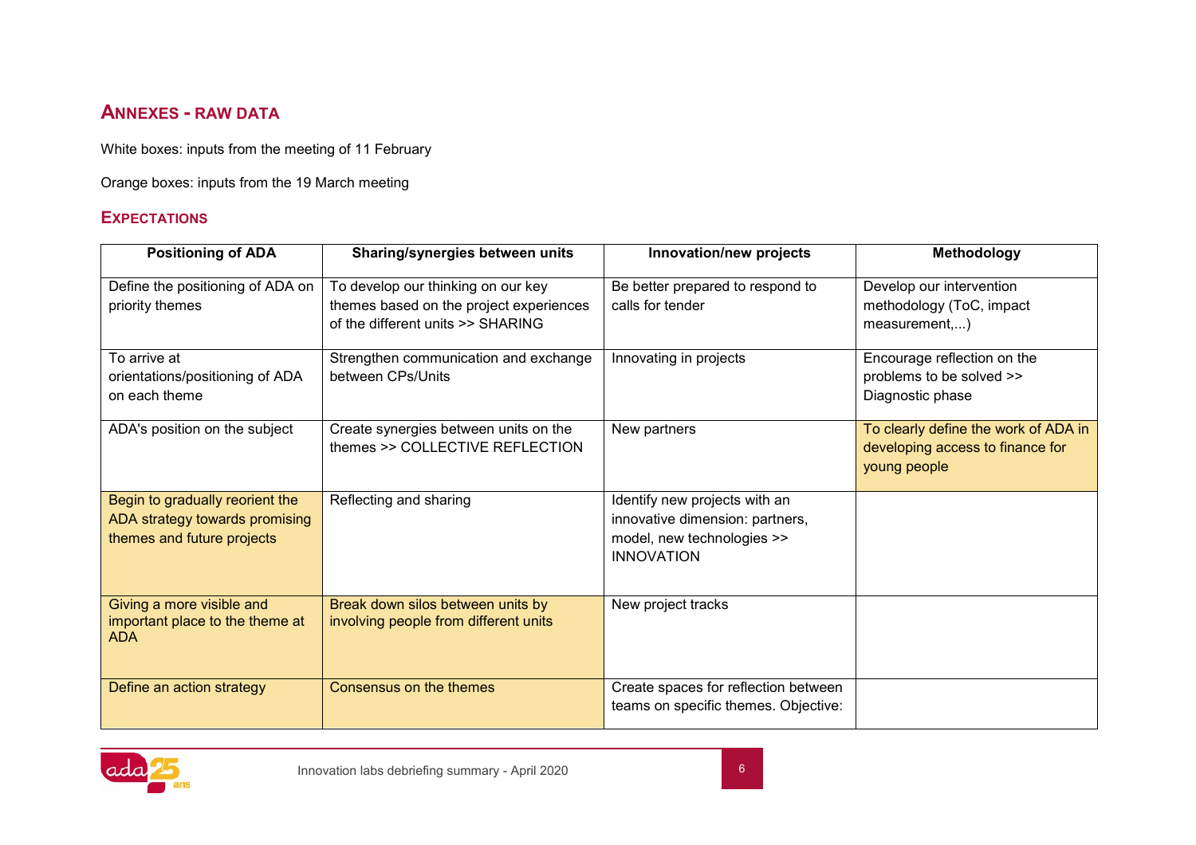## **ANNEXES - RAW DATA**

White boxes: inputs from the meeting of 11 February

Orange boxes: inputs from the 19 March meeting

## **EXPECTATIONS**

<span id="page-6-0"></span>

| <b>Positioning of ADA</b>                                                                       | Sharing/synergies between units                                                                                    | Innovation/new projects                                                                                             | Methodology                                                                              |
|-------------------------------------------------------------------------------------------------|--------------------------------------------------------------------------------------------------------------------|---------------------------------------------------------------------------------------------------------------------|------------------------------------------------------------------------------------------|
| Define the positioning of ADA on<br>priority themes                                             | To develop our thinking on our key<br>themes based on the project experiences<br>of the different units >> SHARING | Be better prepared to respond to<br>calls for tender                                                                | Develop our intervention<br>methodology (ToC, impact<br>measurement,)                    |
| To arrive at<br>orientations/positioning of ADA<br>on each theme                                | Strengthen communication and exchange<br>between CPs/Units                                                         | Innovating in projects                                                                                              | Encourage reflection on the<br>problems to be solved >><br>Diagnostic phase              |
| ADA's position on the subject                                                                   | Create synergies between units on the<br>themes >> COLLECTIVE REFLECTION                                           | New partners                                                                                                        | To clearly define the work of ADA in<br>developing access to finance for<br>young people |
| Begin to gradually reorient the<br>ADA strategy towards promising<br>themes and future projects | Reflecting and sharing                                                                                             | Identify new projects with an<br>innovative dimension: partners,<br>model, new technologies >><br><b>INNOVATION</b> |                                                                                          |
| Giving a more visible and<br>important place to the theme at<br><b>ADA</b>                      | Break down silos between units by<br>involving people from different units                                         | New project tracks                                                                                                  |                                                                                          |
| Define an action strategy                                                                       | Consensus on the themes                                                                                            | Create spaces for reflection between<br>teams on specific themes. Objective:                                        |                                                                                          |

<span id="page-6-1"></span>

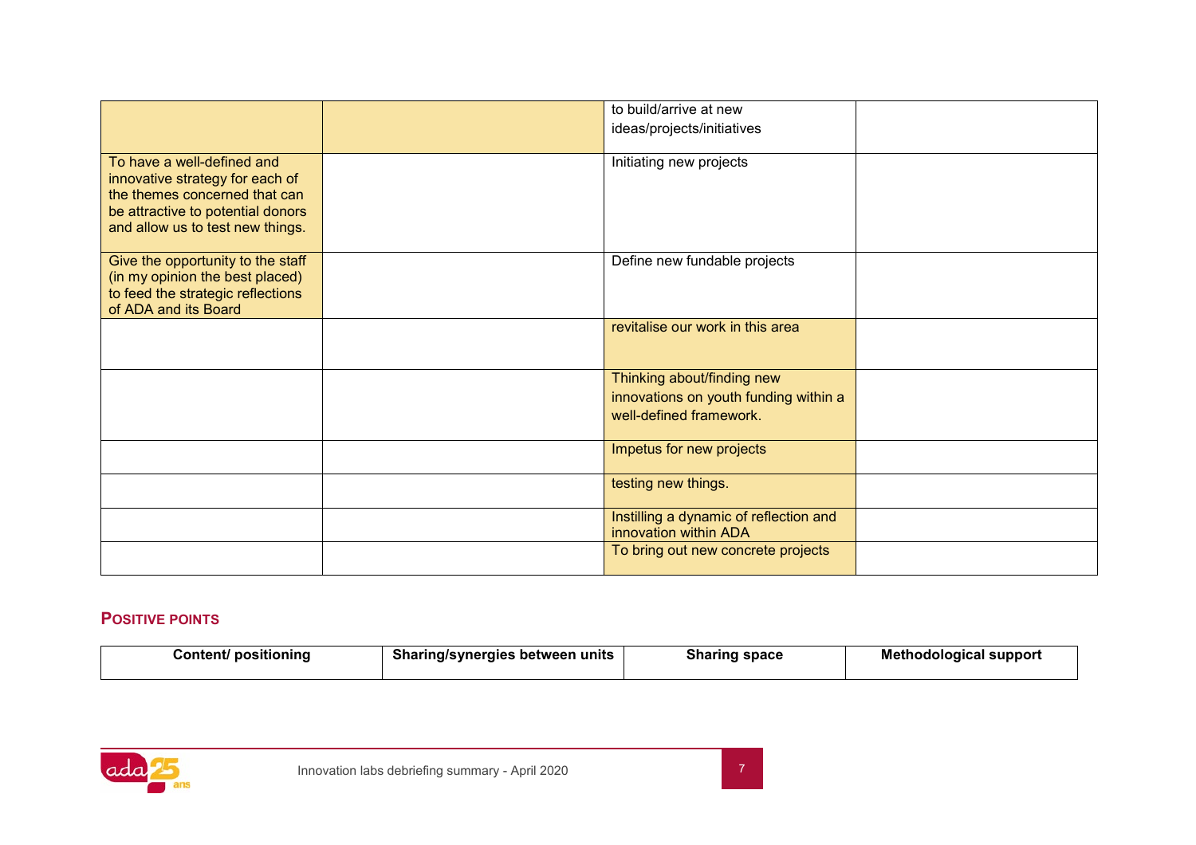|                                                                                                                                                                         | to build/arrive at new<br>ideas/projects/initiatives                                           |  |
|-------------------------------------------------------------------------------------------------------------------------------------------------------------------------|------------------------------------------------------------------------------------------------|--|
| To have a well-defined and<br>innovative strategy for each of<br>the themes concerned that can<br>be attractive to potential donors<br>and allow us to test new things. | Initiating new projects                                                                        |  |
| Give the opportunity to the staff<br>(in my opinion the best placed)<br>to feed the strategic reflections<br>of ADA and its Board                                       | Define new fundable projects                                                                   |  |
|                                                                                                                                                                         | revitalise our work in this area                                                               |  |
|                                                                                                                                                                         | Thinking about/finding new<br>innovations on youth funding within a<br>well-defined framework. |  |
|                                                                                                                                                                         | Impetus for new projects                                                                       |  |
|                                                                                                                                                                         | testing new things.                                                                            |  |
|                                                                                                                                                                         | Instilling a dynamic of reflection and<br>innovation within ADA                                |  |
|                                                                                                                                                                         | To bring out new concrete projects                                                             |  |

## **POSITIVE POINTS**

| .<br><b>Sharing/synergies</b><br>Content/ positioning<br>⊤units<br>. between |  | <b>Sharing</b><br>space | Methodological support |
|------------------------------------------------------------------------------|--|-------------------------|------------------------|
|                                                                              |  |                         |                        |

<span id="page-7-0"></span>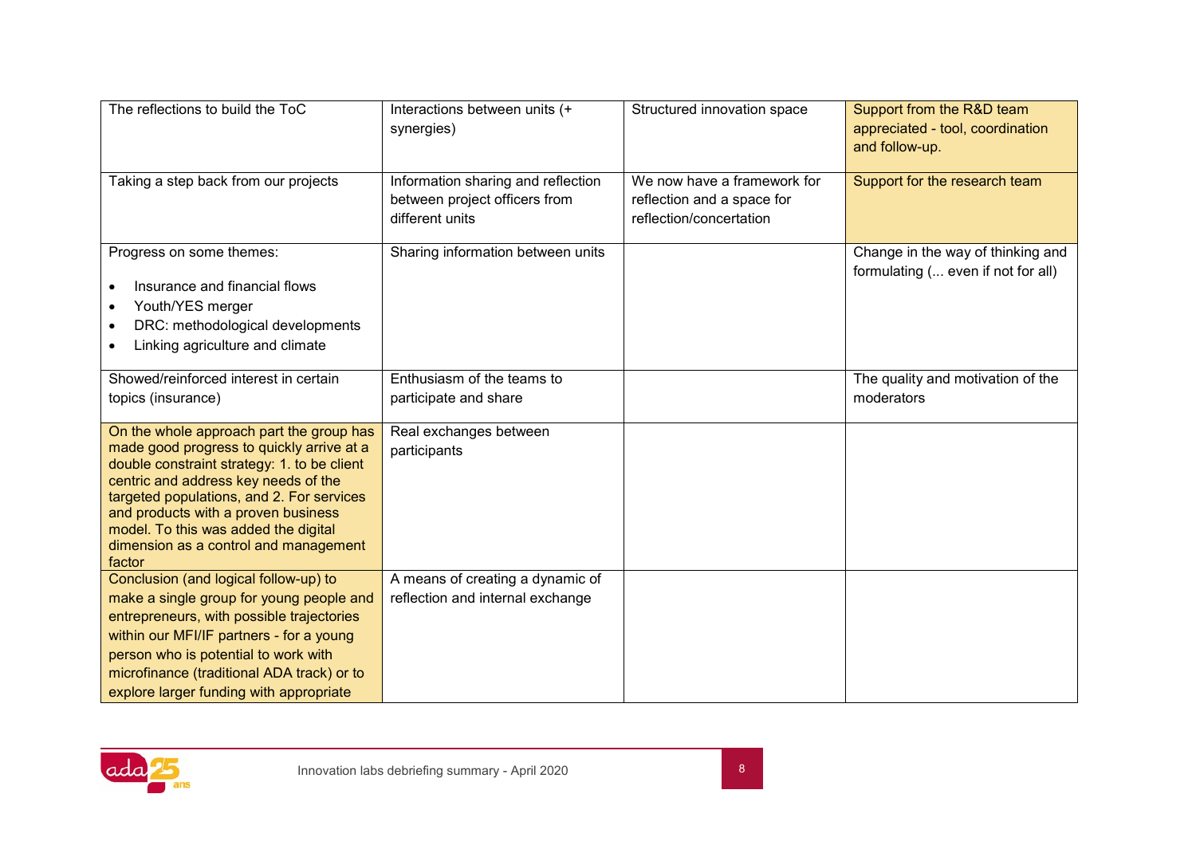| The reflections to build the ToC                                                                                                                                                                                                                                                                                                                            | Interactions between units (+<br>synergies)                                            | Structured innovation space                                                          | Support from the R&D team<br>appreciated - tool, coordination<br>and follow-up. |
|-------------------------------------------------------------------------------------------------------------------------------------------------------------------------------------------------------------------------------------------------------------------------------------------------------------------------------------------------------------|----------------------------------------------------------------------------------------|--------------------------------------------------------------------------------------|---------------------------------------------------------------------------------|
| Taking a step back from our projects                                                                                                                                                                                                                                                                                                                        | Information sharing and reflection<br>between project officers from<br>different units | We now have a framework for<br>reflection and a space for<br>reflection/concertation | Support for the research team                                                   |
| Progress on some themes:<br>Insurance and financial flows<br>Youth/YES merger<br>DRC: methodological developments<br>$\bullet$<br>Linking agriculture and climate                                                                                                                                                                                           | Sharing information between units                                                      |                                                                                      | Change in the way of thinking and<br>formulating ( even if not for all)         |
| Showed/reinforced interest in certain<br>topics (insurance)                                                                                                                                                                                                                                                                                                 | Enthusiasm of the teams to<br>participate and share                                    |                                                                                      | The quality and motivation of the<br>moderators                                 |
| On the whole approach part the group has<br>made good progress to quickly arrive at a<br>double constraint strategy: 1. to be client<br>centric and address key needs of the<br>targeted populations, and 2. For services<br>and products with a proven business<br>model. To this was added the digital<br>dimension as a control and management<br>factor | Real exchanges between<br>participants                                                 |                                                                                      |                                                                                 |
| Conclusion (and logical follow-up) to<br>make a single group for young people and<br>entrepreneurs, with possible trajectories<br>within our MFI/IF partners - for a young<br>person who is potential to work with<br>microfinance (traditional ADA track) or to<br>explore larger funding with appropriate                                                 | A means of creating a dynamic of<br>reflection and internal exchange                   |                                                                                      |                                                                                 |

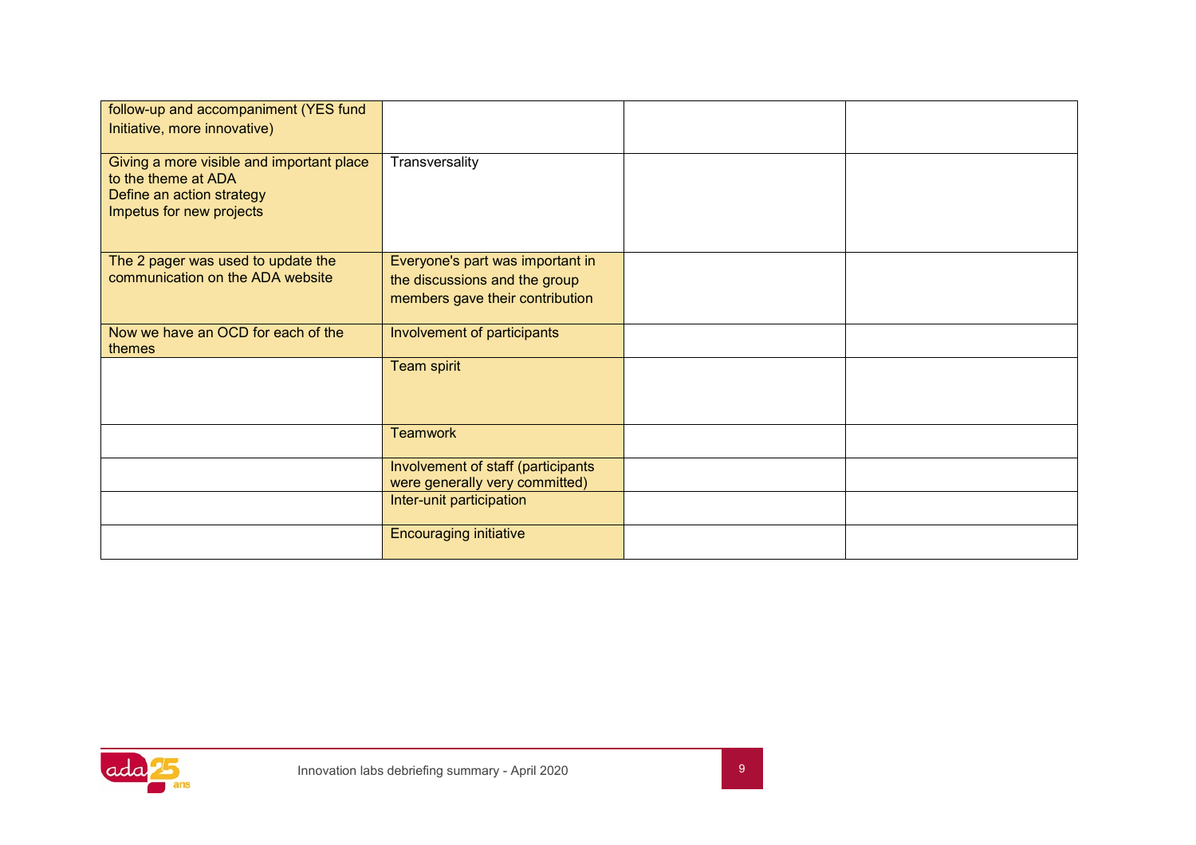| follow-up and accompaniment (YES fund<br>Initiative, more innovative)                                                     |                                                                                                      |  |
|---------------------------------------------------------------------------------------------------------------------------|------------------------------------------------------------------------------------------------------|--|
| Giving a more visible and important place<br>to the theme at ADA<br>Define an action strategy<br>Impetus for new projects | Transversality                                                                                       |  |
| The 2 pager was used to update the<br>communication on the ADA website                                                    | Everyone's part was important in<br>the discussions and the group<br>members gave their contribution |  |
| Now we have an OCD for each of the<br>themes                                                                              | Involvement of participants                                                                          |  |
|                                                                                                                           | <b>Team spirit</b>                                                                                   |  |
|                                                                                                                           | <b>Teamwork</b>                                                                                      |  |
|                                                                                                                           | Involvement of staff (participants<br>were generally very committed)                                 |  |
|                                                                                                                           | Inter-unit participation                                                                             |  |
|                                                                                                                           | <b>Encouraging initiative</b>                                                                        |  |

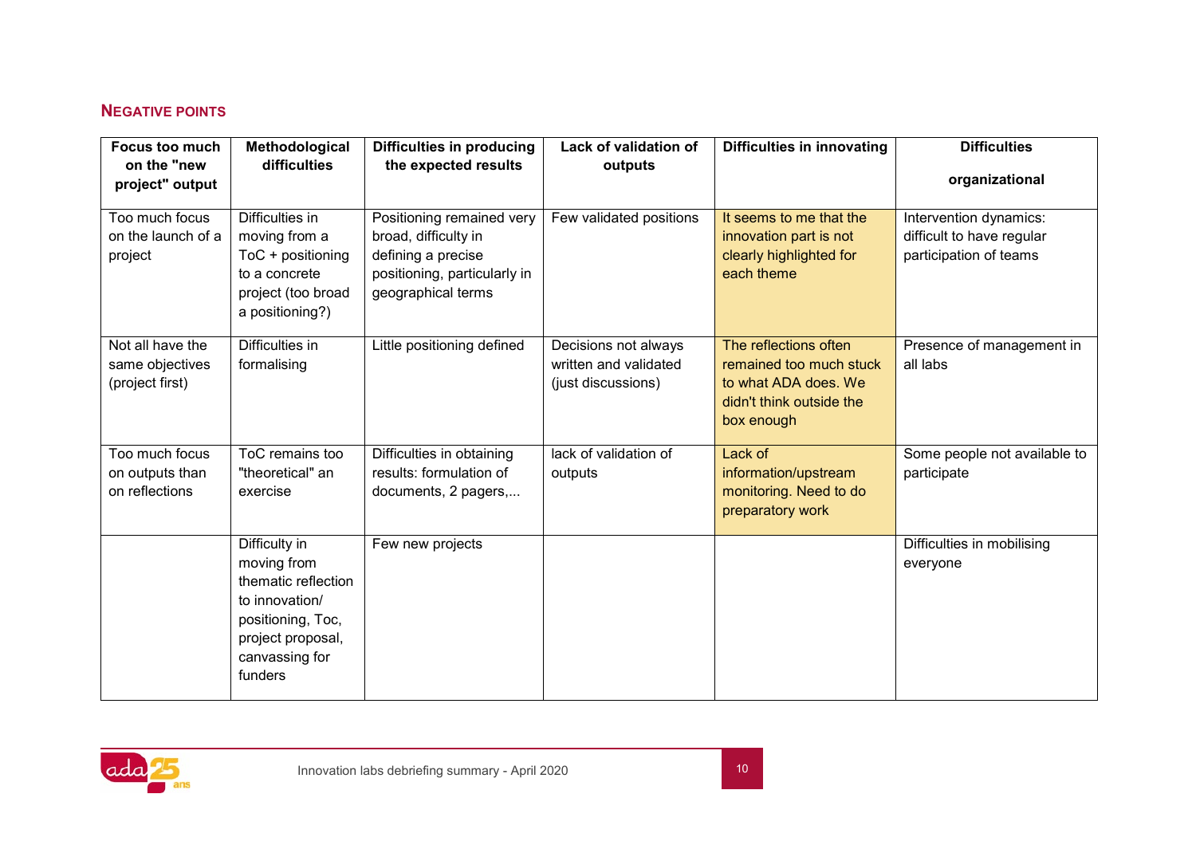## **NEGATIVE POINTS**

| Focus too much                       | Methodological                         | <b>Difficulties in producing</b>                   | Lack of validation of                         | <b>Difficulties in innovating</b>                 | <b>Difficulties</b>                                 |
|--------------------------------------|----------------------------------------|----------------------------------------------------|-----------------------------------------------|---------------------------------------------------|-----------------------------------------------------|
| on the "new<br>project" output       | difficulties                           | the expected results                               | outputs                                       |                                                   | organizational                                      |
|                                      |                                        |                                                    |                                               |                                                   |                                                     |
| Too much focus<br>on the launch of a | Difficulties in<br>moving from a       | Positioning remained very<br>broad, difficulty in  | Few validated positions                       | It seems to me that the<br>innovation part is not | Intervention dynamics:<br>difficult to have regular |
| project                              | ToC + positioning                      | defining a precise                                 |                                               | clearly highlighted for<br>each theme             | participation of teams                              |
|                                      | to a concrete<br>project (too broad    | positioning, particularly in<br>geographical terms |                                               |                                                   |                                                     |
|                                      | a positioning?)                        |                                                    |                                               |                                                   |                                                     |
| Not all have the                     | Difficulties in                        | Little positioning defined                         | Decisions not always<br>written and validated | The reflections often<br>remained too much stuck  | Presence of management in<br>all labs               |
| same objectives<br>(project first)   | formalising                            |                                                    | (just discussions)                            | to what ADA does. We                              |                                                     |
|                                      |                                        |                                                    |                                               | didn't think outside the                          |                                                     |
|                                      |                                        |                                                    |                                               | box enough                                        |                                                     |
|                                      |                                        |                                                    |                                               |                                                   |                                                     |
| Too much focus                       | ToC remains too                        | Difficulties in obtaining                          | lack of validation of                         | Lack of                                           | Some people not available to                        |
| on outputs than                      | "theoretical" an                       | results: formulation of                            | outputs                                       | information/upstream                              | participate                                         |
| on reflections                       | exercise                               | documents, 2 pagers,                               |                                               | monitoring. Need to do                            |                                                     |
|                                      |                                        |                                                    |                                               | preparatory work                                  |                                                     |
|                                      | Difficulty in                          | Few new projects                                   |                                               |                                                   | Difficulties in mobilising                          |
|                                      | moving from                            |                                                    |                                               |                                                   | everyone                                            |
|                                      | thematic reflection                    |                                                    |                                               |                                                   |                                                     |
|                                      | to innovation/                         |                                                    |                                               |                                                   |                                                     |
|                                      | positioning, Toc,<br>project proposal, |                                                    |                                               |                                                   |                                                     |
|                                      | canvassing for                         |                                                    |                                               |                                                   |                                                     |
|                                      | funders                                |                                                    |                                               |                                                   |                                                     |
|                                      |                                        |                                                    |                                               |                                                   |                                                     |

<span id="page-10-0"></span>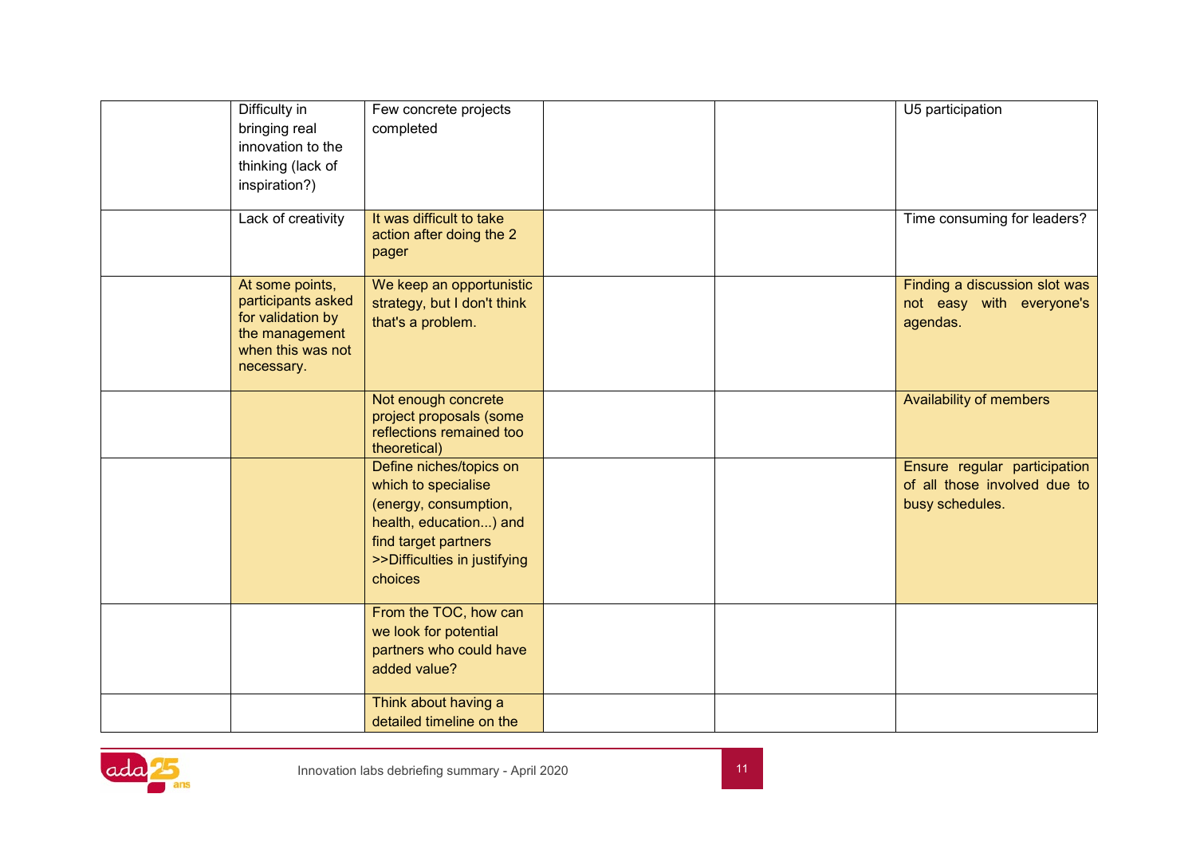| Difficulty in<br>bringing real<br>innovation to the<br>thinking (lack of<br>inspiration?)<br>Lack of creativity | Few concrete projects<br>completed<br>It was difficult to take                                                                                                       |  | U5 participation<br>Time consuming for leaders?                                 |
|-----------------------------------------------------------------------------------------------------------------|----------------------------------------------------------------------------------------------------------------------------------------------------------------------|--|---------------------------------------------------------------------------------|
|                                                                                                                 | action after doing the 2<br>pager                                                                                                                                    |  |                                                                                 |
| At some points,<br>participants asked<br>for validation by<br>the management<br>when this was not<br>necessary. | We keep an opportunistic<br>strategy, but I don't think<br>that's a problem.                                                                                         |  | Finding a discussion slot was<br>not easy with everyone's<br>agendas.           |
|                                                                                                                 | Not enough concrete<br>project proposals (some<br>reflections remained too<br>theoretical)                                                                           |  | Availability of members                                                         |
|                                                                                                                 | Define niches/topics on<br>which to specialise<br>(energy, consumption,<br>health, education) and<br>find target partners<br>>>Difficulties in justifying<br>choices |  | Ensure regular participation<br>of all those involved due to<br>busy schedules. |
|                                                                                                                 | From the TOC, how can<br>we look for potential<br>partners who could have<br>added value?                                                                            |  |                                                                                 |
|                                                                                                                 | Think about having a<br>detailed timeline on the                                                                                                                     |  |                                                                                 |

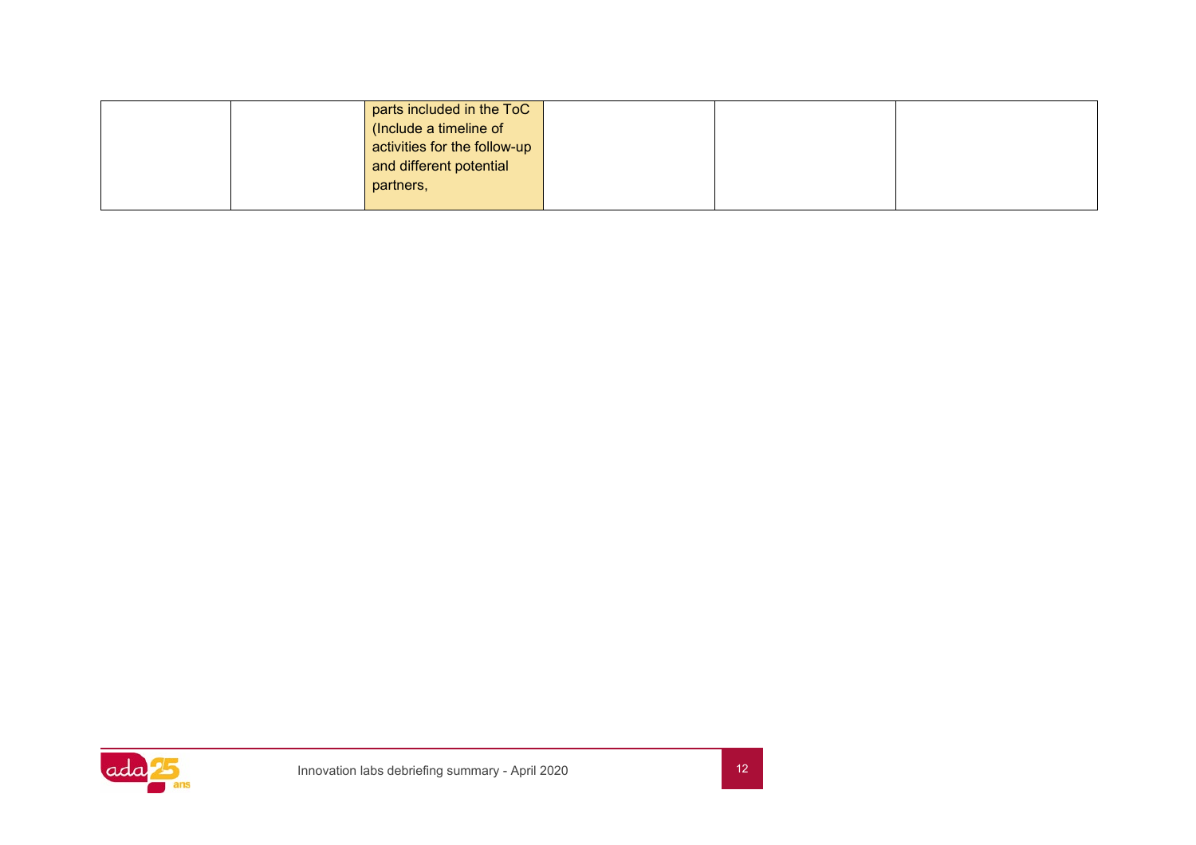|  | parts included in the ToC    |  |  |
|--|------------------------------|--|--|
|  | (Include a timeline of       |  |  |
|  | activities for the follow-up |  |  |
|  | and different potential      |  |  |
|  | partners,                    |  |  |
|  |                              |  |  |

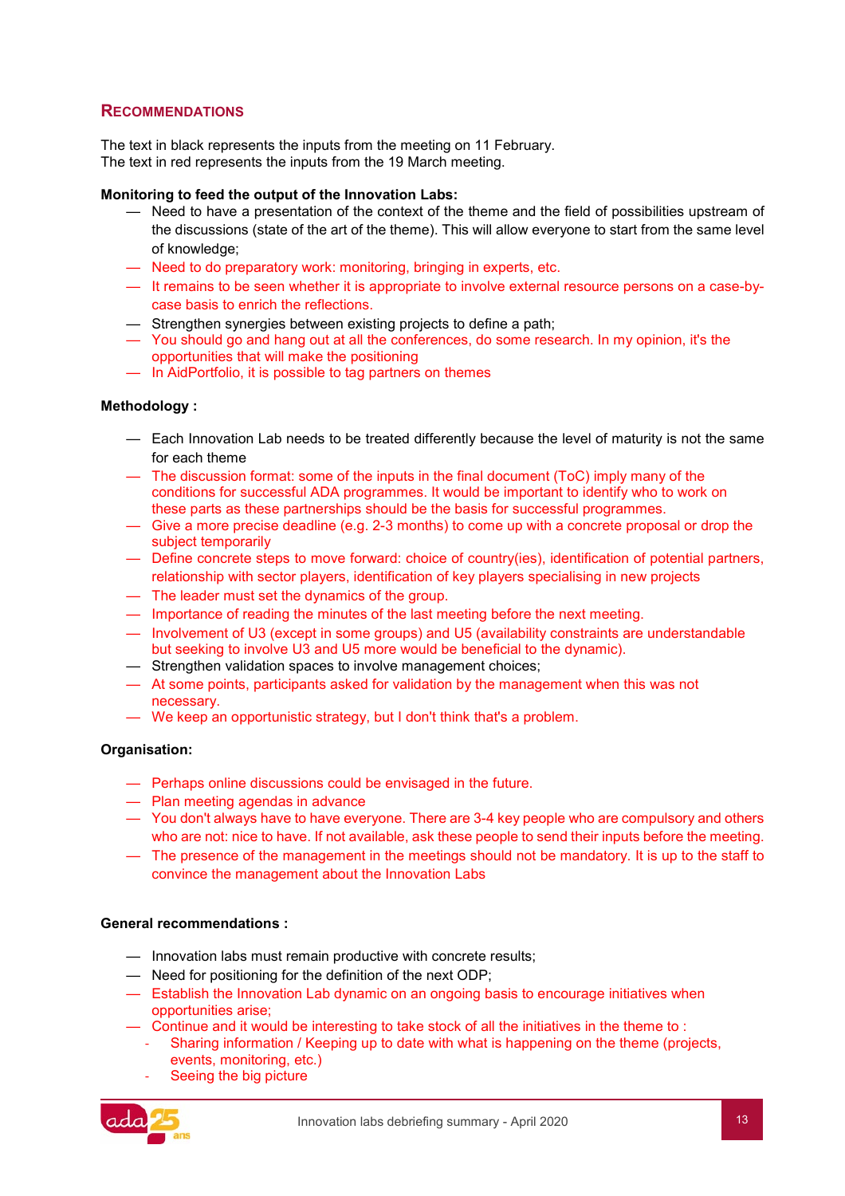## <span id="page-13-0"></span>**RECOMMENDATIONS**

The text in black represents the inputs from the meeting on 11 February. The text in red represents the inputs from the 19 March meeting.

#### **Monitoring to feed the output of the Innovation Labs:**

- Need to have a presentation of the context of the theme and the field of possibilities upstream of the discussions (state of the art of the theme). This will allow everyone to start from the same level of knowledge;
- Need to do preparatory work: monitoring, bringing in experts, etc.
- It remains to be seen whether it is appropriate to involve external resource persons on a case-bycase basis to enrich the reflections.
- Strengthen synergies between existing projects to define a path;
- You should go and hang out at all the conferences, do some research. In my opinion, it's the opportunities that will make the positioning
- In AidPortfolio, it is possible to tag partners on themes

#### **Methodology :**

- Each Innovation Lab needs to be treated differently because the level of maturity is not the same for each theme
- The discussion format: some of the inputs in the final document (ToC) imply many of the conditions for successful ADA programmes. It would be important to identify who to work on these parts as these partnerships should be the basis for successful programmes.
- Give a more precise deadline (e.g. 2-3 months) to come up with a concrete proposal or drop the subject temporarily
- Define concrete steps to move forward: choice of country(ies), identification of potential partners, relationship with sector players, identification of key players specialising in new projects
- The leader must set the dynamics of the group.
- Importance of reading the minutes of the last meeting before the next meeting.
- Involvement of U3 (except in some groups) and U5 (availability constraints are understandable but seeking to involve U3 and U5 more would be beneficial to the dynamic).
- Strengthen validation spaces to involve management choices;
- At some points, participants asked for validation by the management when this was not necessary.
- We keep an opportunistic strategy, but I don't think that's a problem.

#### **Organisation:**

- Perhaps online discussions could be envisaged in the future.
- Plan meeting agendas in advance
- You don't always have to have everyone. There are 3-4 key people who are compulsory and others who are not: nice to have. If not available, ask these people to send their inputs before the meeting.
- The presence of the management in the meetings should not be mandatory. It is up to the staff to convince the management about the Innovation Labs

#### **General recommendations :**

- Innovation labs must remain productive with concrete results;
- Need for positioning for the definition of the next ODP;
- Establish the Innovation Lab dynamic on an ongoing basis to encourage initiatives when opportunities arise;
- Continue and it would be interesting to take stock of all the initiatives in the theme to :
	- Sharing information / Keeping up to date with what is happening on the theme (projects, events, monitoring, etc.)
	- Seeing the big picture